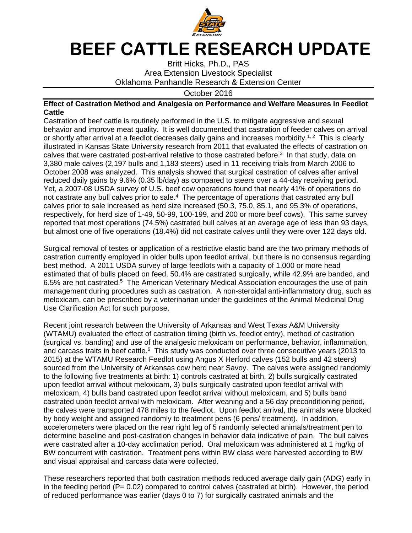

## **BEEF CATTLE RESEARCH UPDATE**

Britt Hicks, Ph.D., PAS Area Extension Livestock Specialist Oklahoma Panhandle Research & Extension Center

October 2016

## **Effect of Castration Method and Analgesia on Performance and Welfare Measures in Feedlot Cattle**

Castration of beef cattle is routinely performed in the U.S. to mitigate aggressive and sexual behavior and improve meat quality. It is well documented that castration of feeder calves on arrival or shortly after arrival at a feedlot decreases daily gains and increases morbidity.<sup>1, 2</sup> This is clearly illustrated in Kansas State University research from 2011 that evaluated the effects of castration on calves that were castrated post-arrival relative to those castrated before.<sup>3</sup> In that study, data on 3,380 male calves (2,197 bulls and 1,183 steers) used in 11 receiving trials from March 2006 to October 2008 was analyzed. This analysis showed that surgical castration of calves after arrival reduced daily gains by 9.6% (0.35 lb/day) as compared to steers over a 44-day receiving period. Yet, a 2007-08 USDA survey of U.S. beef cow operations found that nearly 41% of operations do not castrate any bull calves prior to sale. $4$  The percentage of operations that castrated any bull calves prior to sale increased as herd size increased (50.3, 75.0, 85.1, and 95.3% of operations, respectively, for herd size of 1-49, 50-99, 100-199, and 200 or more beef cows). This same survey reported that most operations (74.5%) castrated bull calves at an average age of less than 93 days, but almost one of five operations (18.4%) did not castrate calves until they were over 122 days old.

Surgical removal of testes or application of a restrictive elastic band are the two primary methods of castration currently employed in older bulls upon feedlot arrival, but there is no consensus regarding best method. A 2011 USDA survey of large feedlots with a capacity of 1,000 or more head estimated that of bulls placed on feed, 50.4% are castrated surgically, while 42.9% are banded, and 6.5% are not castrated.<sup>5</sup> The American Veterinary Medical Association encourages the use of pain management during procedures such as castration. A non-steroidal anti-inflammatory drug, such as meloxicam, can be prescribed by a veterinarian under the guidelines of the Animal Medicinal Drug Use Clarification Act for such purpose.

Recent joint research between the University of Arkansas and West Texas A&M University (WTAMU) evaluated the effect of castration timing (birth vs. feedlot entry), method of castration (surgical vs. banding) and use of the analgesic meloxicam on performance, behavior, inflammation, and carcass traits in beef cattle.<sup>6</sup> This study was conducted over three consecutive years (2013 to 2015) at the WTAMU Research Feedlot using Angus X Herford calves (152 bulls and 42 steers) sourced from the University of Arkansas cow herd near Savoy. The calves were assigned randomly to the following five treatments at birth: 1) controls castrated at birth, 2) bulls surgically castrated upon feedlot arrival without meloxicam, 3) bulls surgically castrated upon feedlot arrival with meloxicam, 4) bulls band castrated upon feedlot arrival without meloxicam, and 5) bulls band castrated upon feedlot arrival with meloxicam. After weaning and a 56 day preconditioning period, the calves were transported 478 miles to the feedlot. Upon feedlot arrival, the animals were blocked by body weight and assigned randomly to treatment pens (6 pens/ treatment). In addition, accelerometers were placed on the rear right leg of 5 randomly selected animals/treatment pen to determine baseline and post-castration changes in behavior data indicative of pain. The bull calves were castrated after a 10-day acclimation period. Oral meloxicam was administered at 1 mg/kg of BW concurrent with castration. Treatment pens within BW class were harvested according to BW and visual appraisal and carcass data were collected.

These researchers reported that both castration methods reduced average daily gain (ADG) early in in the feeding period ( $P= 0.02$ ) compared to control calves (castrated at birth). However, the period of reduced performance was earlier (days 0 to 7) for surgically castrated animals and the